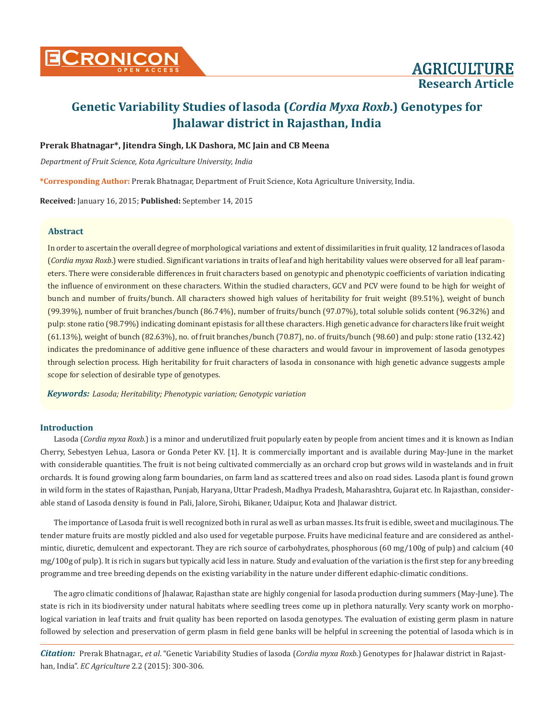

## **Prerak Bhatnagar\*, Jitendra Singh, LK Dashora, MC Jain and CB Meena**

*Department of Fruit Science, Kota Agriculture University, India*

**\*Corresponding Author:** Prerak Bhatnagar, Department of Fruit Science, Kota Agriculture University, India.

**Received:** January 16, 2015; **Published:** September 14, 2015

#### **Abstract**

In order to ascertain the overall degree of morphological variations and extent of dissimilarities in fruit quality, 12 landraces of lasoda (*Cordia myxa Roxb*.) were studied. Significant variations in traits of leaf and high heritability values were observed for all leaf parameters. There were considerable differences in fruit characters based on genotypic and phenotypic coefficients of variation indicating the influence of environment on these characters. Within the studied characters, GCV and PCV were found to be high for weight of bunch and number of fruits/bunch. All characters showed high values of heritability for fruit weight (89.51%), weight of bunch (99.39%), number of fruit branches/bunch (86.74%), number of fruits/bunch (97.07%), total soluble solids content (96.32%) and pulp: stone ratio (98.79%) indicating dominant epistasis for all these characters. High genetic advance for characters like fruit weight (61.13%), weight of bunch (82.63%), no. of fruit branches/bunch (70.87), no. of fruits/bunch (98.60) and pulp: stone ratio (132.42) indicates the predominance of additive gene influence of these characters and would favour in improvement of lasoda genotypes through selection process. High heritability for fruit characters of lasoda in consonance with high genetic advance suggests ample scope for selection of desirable type of genotypes.

*Keywords: Lasoda; Heritability; Phenotypic variation; Genotypic variation*

## **Introduction**

Lasoda (*Cordia myxa Roxb.*) is a minor and underutilized fruit popularly eaten by people from ancient times and it is known as Indian Cherry, Sebestyen Lehua, Lasora or Gonda Peter KV. [1]. It is commercially important and is available during May-June in the market with considerable quantities. The fruit is not being cultivated commercially as an orchard crop but grows wild in wastelands and in fruit orchards. It is found growing along farm boundaries, on farm land as scattered trees and also on road sides. Lasoda plant is found grown in wild form in the states of Rajasthan, Punjab, Haryana, Uttar Pradesh, Madhya Pradesh, Maharashtra, Gujarat etc. In Rajasthan, considerable stand of Lasoda density is found in Pali, Jalore, Sirohi, Bikaner, Udaipur, Kota and Jhalawar district.

The importance of Lasoda fruit is well recognized both in rural as well as urban masses. Its fruit is edible, sweet and mucilaginous. The tender mature fruits are mostly pickled and also used for vegetable purpose. Fruits have medicinal feature and are considered as anthelmintic, diuretic, demulcent and expectorant. They are rich source of carbohydrates, phosphorous (60 mg/100g of pulp) and calcium (40 mg/100g of pulp). It is rich in sugars but typically acid less in nature. Study and evaluation of the variation is the first step for any breeding programme and tree breeding depends on the existing variability in the nature under different edaphic-climatic conditions.

The agro climatic conditions of Jhalawar, Rajasthan state are highly congenial for lasoda production during summers (May-June). The state is rich in its biodiversity under natural habitats where seedling trees come up in plethora naturally. Very scanty work on morphological variation in leaf traits and fruit quality has been reported on lasoda genotypes. The evaluation of existing germ plasm in nature followed by selection and preservation of germ plasm in field gene banks will be helpful in screening the potential of lasoda which is in

*Citation:* Prerak Bhatnagar., *et al*. "Genetic Variability Studies of lasoda (*Cordia myxa Roxb*.) Genotypes for Jhalawar district in Rajasthan, India". *EC Agriculture* 2.2 (2015): 300-306.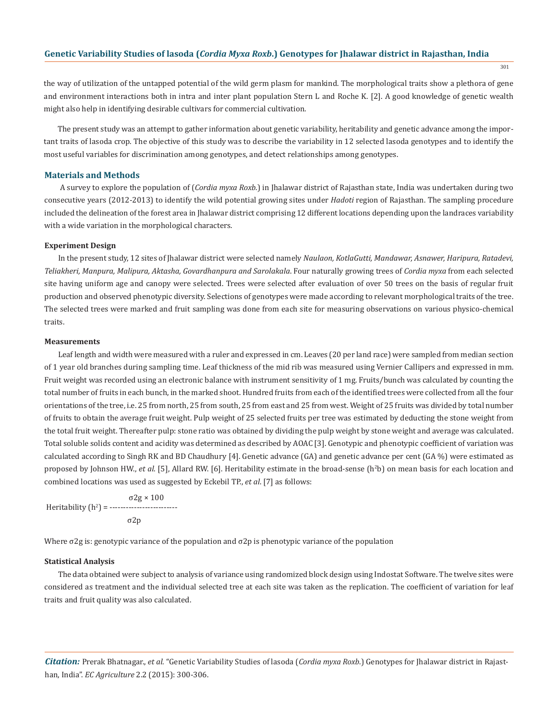301

the way of utilization of the untapped potential of the wild germ plasm for mankind. The morphological traits show a plethora of gene and environment interactions both in intra and inter plant population Stern L and Roche K. [2]. A good knowledge of genetic wealth might also help in identifying desirable cultivars for commercial cultivation.

The present study was an attempt to gather information about genetic variability, heritability and genetic advance among the important traits of lasoda crop. The objective of this study was to describe the variability in 12 selected lasoda genotypes and to identify the most useful variables for discrimination among genotypes, and detect relationships among genotypes.

#### **Materials and Methods**

 A survey to explore the population of (*Cordia myxa Roxb*.) in Jhalawar district of Rajasthan state, India was undertaken during two consecutive years (2012-2013) to identify the wild potential growing sites under *Hadoti* region of Rajasthan. The sampling procedure included the delineation of the forest area in Jhalawar district comprising 12 different locations depending upon the landraces variability with a wide variation in the morphological characters.

#### **Experiment Design**

In the present study, 12 sites of Jhalawar district were selected namely *Naulaon, KotlaGutti, Mandawar, Asnawer, Haripura, Ratadevi, Teliakheri, Manpura, Malipura, Aktasha, Govardhanpura and Sarolakala*. Four naturally growing trees of *Cordia myxa* from each selected site having uniform age and canopy were selected. Trees were selected after evaluation of over 50 trees on the basis of regular fruit production and observed phenotypic diversity. Selections of genotypes were made according to relevant morphological traits of the tree. The selected trees were marked and fruit sampling was done from each site for measuring observations on various physico-chemical traits.

#### **Measurements**

Leaf length and width were measured with a ruler and expressed in cm. Leaves (20 per land race) were sampled from median section of 1 year old branches during sampling time. Leaf thickness of the mid rib was measured using Vernier Callipers and expressed in mm. Fruit weight was recorded using an electronic balance with instrument sensitivity of 1 mg. Fruits/bunch was calculated by counting the total number of fruits in each bunch, in the marked shoot. Hundred fruits from each of the identified trees were collected from all the four orientations of the tree, i.e. 25 from north, 25 from south, 25 from east and 25 from west. Weight of 25 fruits was divided by total number of fruits to obtain the average fruit weight. Pulp weight of 25 selected fruits per tree was estimated by deducting the stone weight from the total fruit weight. Thereafter pulp: stone ratio was obtained by dividing the pulp weight by stone weight and average was calculated. Total soluble solids content and acidity was determined as described by AOAC [3]. Genotypic and phenotypic coefficient of variation was calculated according to Singh RK and BD Chaudhury [4]. Genetic advance (GA) and genetic advance per cent (GA %) were estimated as proposed by Johnson HW., *et al.* [5], Allard RW. [6]. Heritability estimate in the broad-sense (h<sup>2</sup>b) on mean basis for each location and combined locations was used as suggested by Eckebil TP., *et al*. [7] as follows:

 σ2g × 100 Heritability (h<sup>2</sup> ) = ------------------------ σ2p

Where  $\sigma$ 2g is: genotypic variance of the population and  $\sigma$ 2p is phenotypic variance of the population

#### **Statistical Analysis**

The data obtained were subject to analysis of variance using randomized block design using Indostat Software. The twelve sites were considered as treatment and the individual selected tree at each site was taken as the replication. The coefficient of variation for leaf traits and fruit quality was also calculated.

*Citation:* Prerak Bhatnagar., *et al*. "Genetic Variability Studies of lasoda (*Cordia myxa Roxb*.) Genotypes for Jhalawar district in Rajasthan, India". *EC Agriculture* 2.2 (2015): 300-306.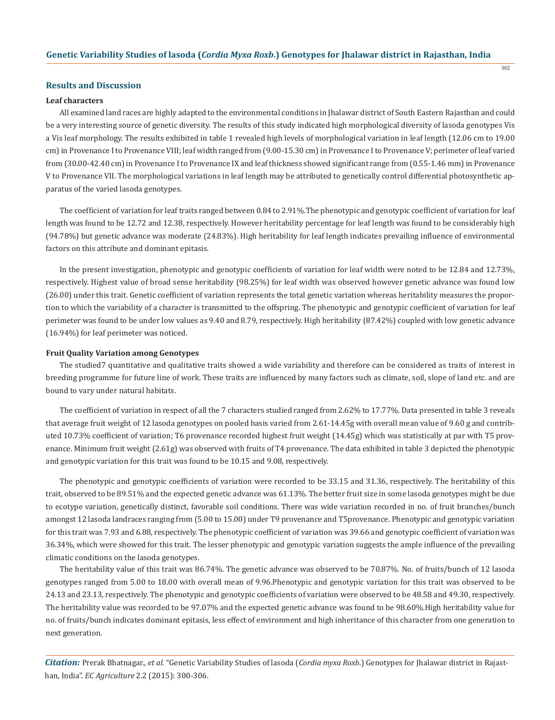## **Results and Discussion**

#### **Leaf characters**

All examined land races are highly adapted to the environmental conditions in Jhalawar district of South Eastern Rajasthan and could be a very interesting source of genetic diversity. The results of this study indicated high morphological diversity of lasoda genotypes Vis a Vis leaf morphology. The results exhibited in table 1 revealed high levels of morphological variation in leaf length (12.06 cm to 19.00 cm) in Provenance I to Provenance VIII; leaf width ranged from (9.00-15.30 cm) in Provenance I to Provenance V; perimeter of leaf varied from (30.00-42.40 cm) in Provenance I to Provenance IX and leaf thickness showed significant range from (0.55-1.46 mm) in Provenance V to Provenance VII. The morphological variations in leaf length may be attributed to genetically control differential photosynthetic apparatus of the varied lasoda genotypes.

The coefficient of variation for leaf traits ranged between 0.84 to 2.91%.The phenotypic and genotypic coefficient of variation for leaf length was found to be 12.72 and 12.38, respectively. However heritability percentage for leaf length was found to be considerably high (94.78%) but genetic advance was moderate (24.83%). High heritability for leaf length indicates prevailing influence of environmental factors on this attribute and dominant epitasis.

In the present investigation, phenotypic and genotypic coefficients of variation for leaf width were noted to be 12.84 and 12.73%, respectively. Highest value of broad sense heritability (98.25%) for leaf width was observed however genetic advance was found low (26.00) under this trait. Genetic coefficient of variation represents the total genetic variation whereas heritability measures the proportion to which the variability of a character is transmitted to the offspring. The phenotypic and genotypic coefficient of variation for leaf perimeter was found to be under low values as 9.40 and 8.79, respectively. High heritability (87.42%) coupled with low genetic advance (16.94%) for leaf perimeter was noticed.

#### **Fruit Quality Variation among Genotypes**

The studied7 quantitative and qualitative traits showed a wide variability and therefore can be considered as traits of interest in breeding programme for future line of work. These traits are influenced by many factors such as climate, soil, slope of land etc. and are bound to vary under natural habitats.

The coefficient of variation in respect of all the 7 characters studied ranged from 2.62% to 17.77%. Data presented in table 3 reveals that average fruit weight of 12 lasoda genotypes on pooled basis varied from 2.61-14.45g with overall mean value of 9.60 g and contributed 10.73% coefficient of variation; T6 provenance recorded highest fruit weight (14.45g) which was statistically at par with T5 provenance. Minimum fruit weight (2.61g) was observed with fruits of T4 provenance. The data exhibited in table 3 depicted the phenotypic and genotypic variation for this trait was found to be 10.15 and 9.08, respectively.

The phenotypic and genotypic coefficients of variation were recorded to be 33.15 and 31.36, respectively. The heritability of this trait, observed to be 89.51% and the expected genetic advance was 61.13%. The better fruit size in some lasoda genotypes might be due to ecotype variation, genetically distinct, favorable soil conditions. There was wide variation recorded in no. of fruit branches/bunch amongst 12 lasoda landraces ranging from (5.00 to 15.00) under T9 provenance and T5provenance. Phenotypic and genotypic variation for this trait was 7.93 and 6.88, respectively. The phenotypic coefficient of variation was 39.66 and genotypic coefficient of variation was 36.34%, which were showed for this trait. The lesser phenotypic and genotypic variation suggests the ample influence of the prevailing climatic conditions on the lasoda genotypes.

The heritability value of this trait was 86.74%. The genetic advance was observed to be 70.87%. No. of fruits/bunch of 12 lasoda genotypes ranged from 5.00 to 18.00 with overall mean of 9.96.Phenotypic and genotypic variation for this trait was observed to be 24.13 and 23.13, respectively. The phenotypic and genotypic coefficients of variation were observed to be 48.58 and 49.30, respectively. The heritability value was recorded to be 97.07% and the expected genetic advance was found to be 98.60%.High heritability value for no. of fruits/bunch indicates dominant epitasis, less effect of environment and high inheritance of this character from one generation to next generation.

*Citation:* Prerak Bhatnagar., *et al*. "Genetic Variability Studies of lasoda (*Cordia myxa Roxb*.) Genotypes for Jhalawar district in Rajasthan, India". *EC Agriculture* 2.2 (2015): 300-306.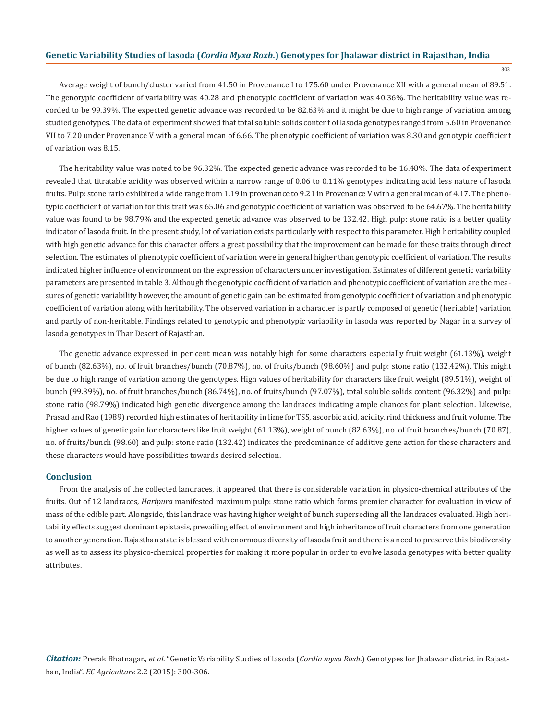303

Average weight of bunch/cluster varied from 41.50 in Provenance I to 175.60 under Provenance XII with a general mean of 89.51. The genotypic coefficient of variability was 40.28 and phenotypic coefficient of variation was 40.36%. The heritability value was recorded to be 99.39%. The expected genetic advance was recorded to be 82.63% and it might be due to high range of variation among studied genotypes. The data of experiment showed that total soluble solids content of lasoda genotypes ranged from 5.60 in Provenance VII to 7.20 under Provenance V with a general mean of 6.66. The phenotypic coefficient of variation was 8.30 and genotypic coefficient of variation was 8.15.

The heritability value was noted to be 96.32%. The expected genetic advance was recorded to be 16.48%. The data of experiment revealed that titratable acidity was observed within a narrow range of 0.06 to 0.11% genotypes indicating acid less nature of lasoda fruits. Pulp: stone ratio exhibited a wide range from 1.19 in provenance to 9.21 in Provenance V with a general mean of 4.17. The phenotypic coefficient of variation for this trait was 65.06 and genotypic coefficient of variation was observed to be 64.67%. The heritability value was found to be 98.79% and the expected genetic advance was observed to be 132.42. High pulp: stone ratio is a better quality indicator of lasoda fruit. In the present study, lot of variation exists particularly with respect to this parameter. High heritability coupled with high genetic advance for this character offers a great possibility that the improvement can be made for these traits through direct selection. The estimates of phenotypic coefficient of variation were in general higher than genotypic coefficient of variation. The results indicated higher influence of environment on the expression of characters under investigation. Estimates of different genetic variability parameters are presented in table 3. Although the genotypic coefficient of variation and phenotypic coefficient of variation are the measures of genetic variability however, the amount of genetic gain can be estimated from genotypic coefficient of variation and phenotypic coefficient of variation along with heritability. The observed variation in a character is partly composed of genetic (heritable) variation and partly of non-heritable. Findings related to genotypic and phenotypic variability in lasoda was reported by Nagar in a survey of lasoda genotypes in Thar Desert of Rajasthan.

The genetic advance expressed in per cent mean was notably high for some characters especially fruit weight (61.13%), weight of bunch (82.63%), no. of fruit branches/bunch (70.87%), no. of fruits/bunch (98.60%) and pulp: stone ratio (132.42%). This might be due to high range of variation among the genotypes. High values of heritability for characters like fruit weight (89.51%), weight of bunch (99.39%), no. of fruit branches/bunch (86.74%), no. of fruits/bunch (97.07%), total soluble solids content (96.32%) and pulp: stone ratio (98.79%) indicated high genetic divergence among the landraces indicating ample chances for plant selection. Likewise, Prasad and Rao (1989) recorded high estimates of heritability in lime for TSS, ascorbic acid, acidity, rind thickness and fruit volume. The higher values of genetic gain for characters like fruit weight (61.13%), weight of bunch (82.63%), no. of fruit branches/bunch (70.87), no. of fruits/bunch (98.60) and pulp: stone ratio (132.42) indicates the predominance of additive gene action for these characters and these characters would have possibilities towards desired selection.

#### **Conclusion**

From the analysis of the collected landraces, it appeared that there is considerable variation in physico-chemical attributes of the fruits. Out of 12 landraces, *Haripura* manifested maximum pulp: stone ratio which forms premier character for evaluation in view of mass of the edible part. Alongside, this landrace was having higher weight of bunch superseding all the landraces evaluated. High heritability effects suggest dominant epistasis, prevailing effect of environment and high inheritance of fruit characters from one generation to another generation. Rajasthan state is blessed with enormous diversity of lasoda fruit and there is a need to preserve this biodiversity as well as to assess its physico-chemical properties for making it more popular in order to evolve lasoda genotypes with better quality attributes.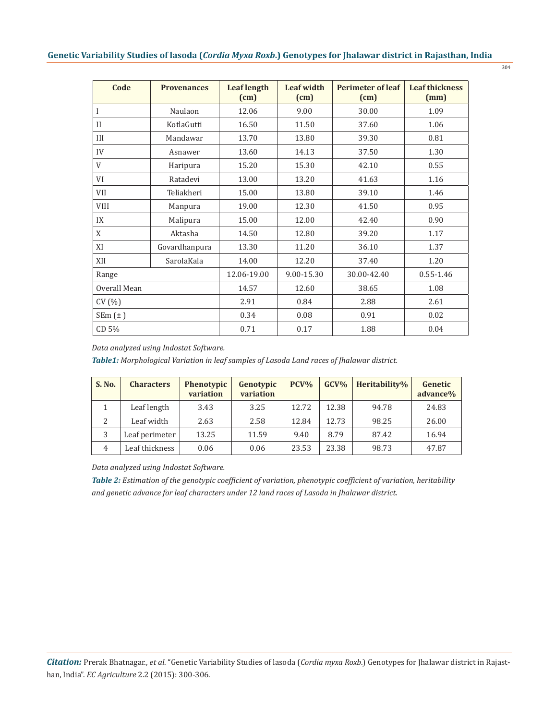| Code<br><b>Provenances</b> |               | <b>Leaf length</b><br>(cm) | <b>Leaf width</b><br>(cm) | <b>Perimeter of leaf</b><br>(cm) | <b>Leaf thickness</b><br>(mm) |  |
|----------------------------|---------------|----------------------------|---------------------------|----------------------------------|-------------------------------|--|
| I                          | Naulaon       | 12.06                      | 9.00                      | 30.00                            | 1.09                          |  |
| $\mathbf{I}$<br>KotlaGutti |               | 16.50                      | 11.50                     | 37.60                            | 1.06                          |  |
| III                        | Mandawar      | 13.70                      | 13.80                     | 39.30                            | 0.81                          |  |
| IV                         | Asnawer       | 13.60                      | 14.13                     | 37.50                            | 1.30                          |  |
| V                          | Haripura      | 15.20                      | 15.30                     | 42.10                            | 0.55                          |  |
| VI                         | Ratadevi      | 13.00                      | 13.20                     | 41.63                            | 1.16                          |  |
| <b>VII</b><br>Teliakheri   |               | 15.00                      | 13.80                     | 39.10                            | 1.46                          |  |
| <b>VIII</b><br>Manpura     |               | 19.00                      | 12.30                     | 41.50                            | 0.95                          |  |
| IX                         | Malipura      | 15.00                      | 12.00                     | 42.40                            | 0.90                          |  |
| Aktasha<br>X               |               | 14.50                      | 12.80                     | 39.20                            | 1.17                          |  |
| XI                         | Govardhanpura | 13.30                      | 11.20                     | 36.10                            | 1.37                          |  |
| XII                        | SarolaKala    | 14.00                      | 12.20                     | 37.40                            | 1.20                          |  |
| Range                      |               | 12.06-19.00                | 9.00-15.30                | 30.00-42.40                      | $0.55 - 1.46$                 |  |
| Overall Mean               |               | 14.57                      | 12.60                     | 38.65                            | 1.08                          |  |
| CV(%)                      |               | 2.91                       | 0.84                      | 2.88                             | 2.61                          |  |
| $SEm(\pm)$                 |               | 0.34                       | 0.08                      | 0.91                             | 0.02                          |  |
| CD 5%                      |               | 0.71                       | 0.17                      | 1.88                             | 0.04                          |  |

*Data analyzed using Indostat Software.*

*Table1: Morphological Variation in leaf samples of Lasoda Land races of Jhalawar district.*

| <b>S. No.</b> | <b>Characters</b> | Phenotypic<br>variation | Genotypic<br>variation | $PCV\%$ | $GCV\%$ | Heritability% | Genetic<br>advance% |
|---------------|-------------------|-------------------------|------------------------|---------|---------|---------------|---------------------|
|               | Leaf length       | 3.43                    | 3.25                   | 12.72   | 12.38   | 94.78         | 24.83               |
| 2             | Leaf width        | 2.63                    | 2.58                   | 12.84   | 12.73   | 98.25         | 26.00               |
| 3             | Leaf perimeter    | 13.25                   | 11.59                  | 9.40    | 8.79    | 87.42         | 16.94               |
| 4             | Leaf thickness    | 0.06                    | 0.06                   | 23.53   | 23.38   | 98.73         | 47.87               |

*Data analyzed using Indostat Software.*

*Table 2: Estimation of the genotypic coefficient of variation, phenotypic coefficient of variation, heritability and genetic advance for leaf characters under 12 land races of Lasoda in Jhalawar district.*

304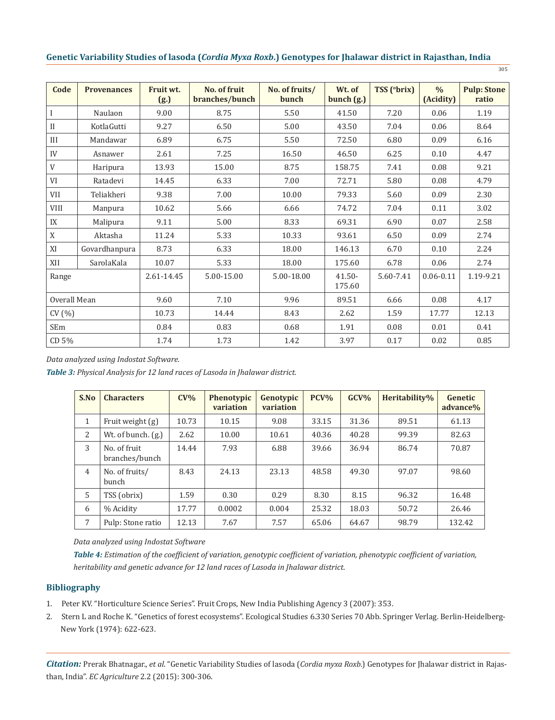| I<br>. .<br>× | I<br>. . | I<br>۰, |  |
|---------------|----------|---------|--|
|               |          |         |  |

| Code         | <b>Provenances</b> | Fruit wt.<br>(g.) | No. of fruit<br>branches/bunch | No. of fruits/<br>bunch | Wt. of<br>bunch(g.) | TSS (°brix) | $\frac{0}{0}$<br>(Acidity) | <b>Pulp: Stone</b><br>ratio |
|--------------|--------------------|-------------------|--------------------------------|-------------------------|---------------------|-------------|----------------------------|-----------------------------|
|              | Naulaon            | 9.00              | 8.75                           | 5.50                    | 41.50               | 7.20        | 0.06                       | 1.19                        |
| $\mathbf{I}$ | KotlaGutti         | 9.27              | 6.50                           | 5.00                    | 43.50               | 7.04        | 0.06                       | 8.64                        |
| III          | Mandawar           | 6.89              | 6.75                           | 5.50                    | 72.50               | 6.80        | 0.09                       | 6.16                        |
| IV           | Asnawer            | 2.61              | 7.25                           | 16.50                   | 46.50               | 6.25        | 0.10                       | 4.47                        |
| V            | Haripura           | 13.93             | 15.00                          | 8.75                    | 158.75              | 7.41        | 0.08                       | 9.21                        |
| VI           | Ratadevi           | 14.45             | 6.33                           | 7.00                    | 72.71               | 5.80        | 0.08                       | 4.79                        |
| VII          | Teliakheri         | 9.38              | 7.00                           | 10.00                   | 79.33               | 5.60        | 0.09                       | 2.30                        |
| <b>VIII</b>  | Manpura            | 10.62             | 5.66                           | 6.66                    | 74.72               | 7.04        | 0.11                       | 3.02                        |
| IX           | Malipura           | 9.11              | 5.00                           | 8.33                    | 69.31               | 6.90        | 0.07                       | 2.58                        |
| X            | Aktasha            | 11.24             | 5.33                           | 10.33                   | 93.61               | 6.50        | 0.09                       | 2.74                        |
| XI           | Govardhanpura      | 8.73              | 6.33                           | 18.00                   | 146.13              | 6.70        | 0.10                       | 2.24                        |
| XII          | SarolaKala         | 10.07             | 5.33                           | 18.00                   | 175.60              | 6.78        | 0.06                       | 2.74                        |
| Range        |                    | 2.61-14.45        | 5.00-15.00                     | 5.00-18.00              | $41.50 -$<br>175.60 | 5.60-7.41   | $0.06 - 0.11$              | 1.19-9.21                   |
| Overall Mean |                    | 9.60              | 7.10                           | 9.96                    | 89.51<br>6.66       |             | 0.08                       | 4.17                        |
| CV(%)        |                    | 10.73             | 14.44                          | 8.43                    | 2.62                | 1.59        | 17.77                      | 12.13                       |
| SEm          |                    | 0.84              | 0.83                           | 0.68                    | 1.91                | 0.08        |                            | 0.41                        |
| CD 5%        |                    | 1.74              | 1.73                           | 1.42                    | 3.97                | 0.17        | 0.02                       | 0.85                        |

# *Data analyzed using Indostat Software.*

*Table 3: Physical Analysis for 12 land races of Lasoda in Jhalawar district.*

| S.No           | <b>Characters</b>              | $CV\%$ | Phenotypic<br>variation | Genotypic<br>variation | $PCV\%$ | GCV%  | Heritability% | Genetic<br>advance% |
|----------------|--------------------------------|--------|-------------------------|------------------------|---------|-------|---------------|---------------------|
| 1              | Fruit weight $(g)$             | 10.73  | 10.15                   | 9.08                   | 33.15   | 31.36 | 89.51         | 61.13               |
| 2              | Wt. of bunch. (g.)             | 2.62   | 10.00                   | 10.61                  | 40.36   | 40.28 | 99.39         | 82.63               |
| 3              | No. of fruit<br>branches/bunch | 14.44  | 7.93                    | 6.88                   | 39.66   | 36.94 | 86.74         | 70.87               |
| $\overline{4}$ | No. of fruits/<br>bunch        | 8.43   | 24.13                   | 23.13                  | 48.58   | 49.30 | 97.07         | 98.60               |
| 5              | TSS (obrix)                    | 1.59   | 0.30                    | 0.29                   | 8.30    | 8.15  | 96.32         | 16.48               |
| 6              | % Acidity                      | 17.77  | 0.0002                  | 0.004                  | 25.32   | 18.03 | 50.72         | 26.46               |
| 7              | Pulp: Stone ratio              | 12.13  | 7.67                    | 7.57                   | 65.06   | 64.67 | 98.79         | 132.42              |

*Data analyzed using Indostat Software*

*Table 4: Estimation of the coefficient of variation, genotypic coefficient of variation, phenotypic coefficient of variation, heritability and genetic advance for 12 land races of Lasoda in Jhalawar district.*

# **Bibliography**

- 1. Peter KV. "Horticulture Science Series". Fruit Crops, New India Publishing Agency 3 (2007): 353.
- 2. Stern L and Roche K. "Genetics of forest ecosystems". Ecological Studies 6.330 Series 70 Abb. Springer Verlag. Berlin-Heidelberg- New York (1974): 622-623.

*Citation:* Prerak Bhatnagar., *et al*. "Genetic Variability Studies of lasoda (*Cordia myxa Roxb*.) Genotypes for Jhalawar district in Rajasthan, India". *EC Agriculture* 2.2 (2015): 300-306.